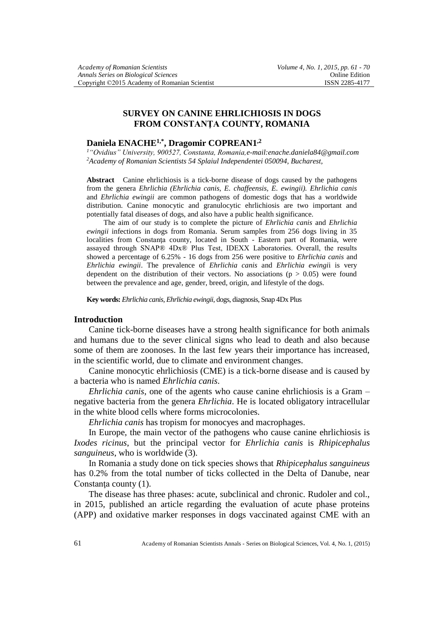# **SURVEY ON CANINE EHRLICHIOSIS IN DOGS FROM CONSTANŢA COUNTY, ROMANIA**

# **Daniela ENACHE1,\* , Dragomir COPREAN1 ,2**

*<sup>1</sup>"Ovidius" University, 900527, Constanta, Romania,e-mail:enache.daniela84@gmail.com <sup>2</sup>Academy of Romanian Scientists 54 Splaiul Independentei 050094, Bucharest,* 

**Abstract** Canine ehrlichiosis is a tick-borne disease of dogs caused by the pathogens from the genera *Ehrlichia (Ehrlichia canis, E. chaffeensis, E. ewingii). Ehrlichia canis* and *Ehrlichia ewingii* are common pathogens of domestic dogs that has a worldwide distribution. Canine monocytic and granulocytic ehrlichiosis are two important and potentially fatal diseases of dogs, and also have a public health significance.

The aim of our study is to complete the picture of *Ehrlichia canis* and *Ehrlichia ewingii* infections in dogs from Romania. Serum samples from 256 dogs living in 35 localities from Constanţa county, located in South - Eastern part of Romania, were assayed through SNAP® 4Dx® Plus Test, IDEXX Laboratories. Overall, the results showed a percentage of 6.25% - 16 dogs from 256 were positive to *Ehrlichia canis* and *Ehrlichia ewingii*. The prevalence of *Ehrlichia canis* and *Ehrlichia ewingi*i is very dependent on the distribution of their vectors. No associations ( $p > 0.05$ ) were found between the prevalence and age, gender, breed, origin, and lifestyle of the dogs.

**Key words:** *Ehrlichia canis, Ehrlichia ewingii*, dogs, diagnosis, Snap 4Dx Plus

#### **Introduction**

Canine tick-borne diseases have a strong health significance for both animals and humans due to the sever clinical signs who lead to death and also because some of them are zoonoses. In the last few years their importance has increased, in the scientific world, due to climate and environment changes.

Canine monocytic ehrlichiosis (CME) is a tick-borne disease and is caused by a bacteria who is named *Ehrlichia canis*.

*Ehrlichia canis*, one of the agents who cause canine ehrlichiosis is a Gram – negative bacteria from the genera *Ehrlichia*. He is located obligatory intracellular in the white blood cells where forms microcolonies.

*Ehrlichia canis* has tropism for monocyes and macrophages.

In Europe, the main vector of the pathogens who cause canine ehrlichiosis is *Ixodes ricinus*, but the principal vector for *Ehrlichia canis* is *Rhipicephalus sanguineus*, who is worldwide (3).

In Romania a study done on tick species shows that *Rhipicephalus sanguineus* has 0.2% from the total number of ticks collected in the Delta of Danube, near Constanţa county (1).

The disease has three phases: acute, subclinical and chronic. Rudoler and col., in 2015, published an article regarding the evaluation of acute phase proteins (APP) and oxidative marker responses in dogs vaccinated against CME with an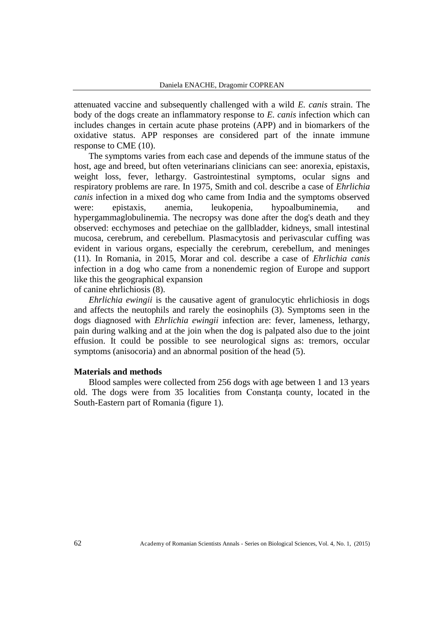attenuated vaccine and subsequently challenged with a wild *E. canis* strain. The body of the dogs create an inflammatory response to *E. canis* infection which can includes changes in certain acute phase proteins (APP) and in biomarkers of the oxidative status. APP responses are considered part of the innate immune response to CME (10).

The symptoms varies from each case and depends of the immune status of the host, age and breed, but often veterinarians clinicians can see: anorexia, epistaxis, weight loss, fever, lethargy. Gastrointestinal symptoms, ocular signs and respiratory problems are rare. In 1975, Smith and col. describe a case of *Ehrlichia canis* infection in a mixed dog who came from India and the symptoms observed were: epistaxis, anemia, leukopenia, hypoalbuminemia, and hypergammaglobulinemia. The necropsy was done after the dog's death and they observed: ecchymoses and petechiae on the gallbladder, kidneys, small intestinal mucosa, cerebrum, and cerebellum. Plasmacytosis and perivascular cuffing was evident in various organs, especially the cerebrum, cerebellum, and meninges (11). In Romania, in 2015, Morar and col. describe a case of *Ehrlichia canis* infection in a dog who came from a nonendemic region of Europe and support like this the geographical expansion

of canine ehrlichiosis (8).

*Ehrlichia ewingii* is the causative agent of granulocytic ehrlichiosis in dogs and affects the neutophils and rarely the eosinophils (3). Symptoms seen in the dogs diagnosed with *Ehrlichia ewingii* infection are: fever, lameness, lethargy, pain during walking and at the join when the dog is palpated also due to the joint effusion. It could be possible to see neurological signs as: tremors, occular symptoms (anisocoria) and an abnormal position of the head (5).

#### **Materials and methods**

Blood samples were collected from 256 dogs with age between 1 and 13 years old. The dogs were from 35 localities from Constanţa county, located in the South-Eastern part of Romania (figure 1).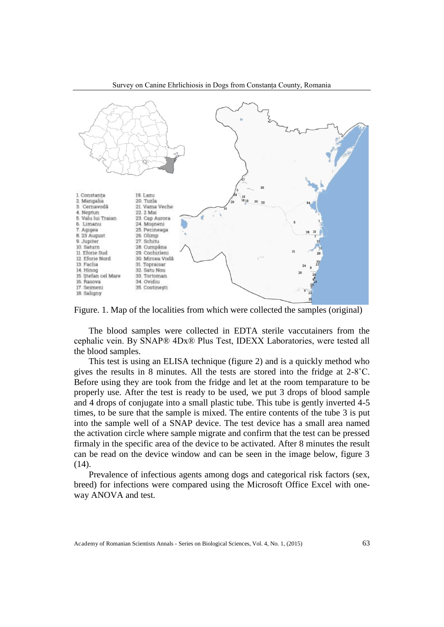

Survey on Canine Ehrlichiosis in Dogs from Constanța County, Romania

Figure. 1. Map of the localities from which were collected the samples (original)

The blood samples were collected in EDTA sterile vaccutainers from the cephalic vein. By SNAP® 4Dx® Plus Test, IDEXX Laboratories, were tested all the blood samples.

This test is using an ELISA technique (figure 2) and is a quickly method who gives the results in 8 minutes. All the tests are stored into the fridge at 2-8˚C. Before using they are took from the fridge and let at the room temparature to be properly use. After the test is ready to be used, we put 3 drops of blood sample and 4 drops of conjugate into a small plastic tube. This tube is gently inverted 4-5 times, to be sure that the sample is mixed. The entire contents of the tube 3 is put into the sample well of a SNAP device. The test device has a small area named the activation circle where sample migrate and confirm that the test can be pressed firmaly in the specific area of the device to be activated. After 8 minutes the result can be read on the device window and can be seen in the image below, figure 3 (14).

Prevalence of infectious agents among dogs and categorical risk factors (sex, breed) for infections were compared using the Microsoft Office Excel with oneway ANOVA and test.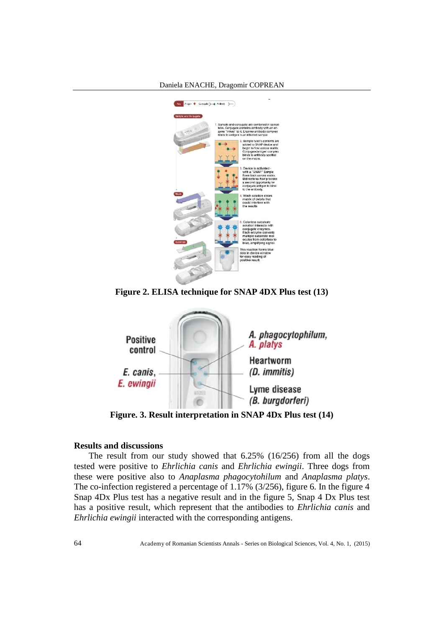



**Figure 2. ELISA technique for SNAP 4DX Plus test (13)**



**Figure. 3. Result interpretation in SNAP 4Dx Plus test (14)**

## **Results and discussions**

The result from our study showed that 6.25% (16/256) from all the dogs tested were positive to *Ehrlichia canis* and *Ehrlichia ewingii*. Three dogs from these were positive also to *Anaplasma phagocytohilum* and *Anaplasma platys*. The co-infection registered a percentage of 1.17% (3/256), figure 6. In the figure 4 Snap 4Dx Plus test has a negative result and in the figure 5, Snap 4 Dx Plus test has a positive result, which represent that the antibodies to *Ehrlichia canis* and *Ehrlichia ewingii* interacted with the corresponding antigens.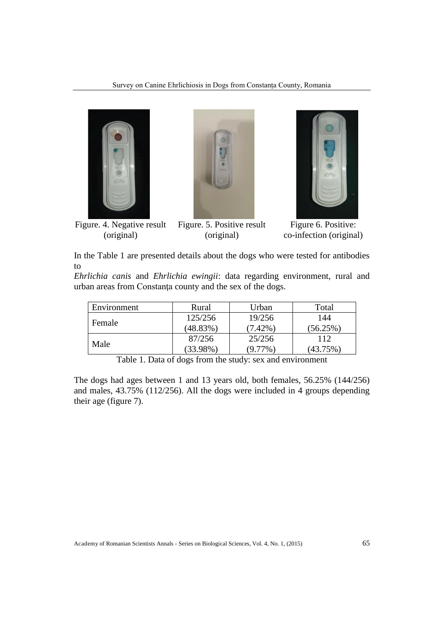



Figure. 4. Negative result (original)

Figure. 5. Positive result (original)



Figure 6. Positive: co-infection (original)

In the Table 1 are presented details about the dogs who were tested for antibodies to

*Ehrlichia canis* and *Ehrlichia ewingii*: data regarding environment, rural and urban areas from Constanţa county and the sex of the dogs.

| Environment | Rural       | Urban      | Total    |  |  |
|-------------|-------------|------------|----------|--|--|
| Female      | 125/256     | 19/256     | 144      |  |  |
|             | (48.83%)    | (7.42%)    | (56.25%) |  |  |
|             | 87/256      | 25/256     | 112      |  |  |
| Male        | $(33.98\%)$ | $(9.77\%)$ | (43.75%) |  |  |

Table 1. Data of dogs from the study: sex and environment

The dogs had ages between 1 and 13 years old, both females, 56.25% (144/256) and males, 43.75% (112/256). All the dogs were included in 4 groups depending their age (figure 7).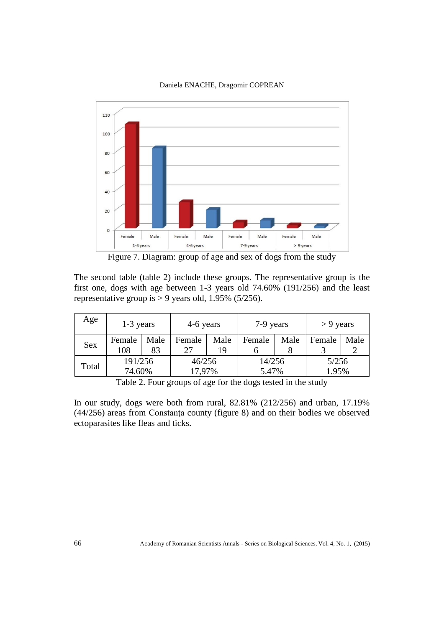



Figure 7. Diagram: group of age and sex of dogs from the study

The second table (table 2) include these groups. The representative group is the first one, dogs with age between 1-3 years old 74.60% (191/256) and the least representative group is  $> 9$  years old, 1.95% (5/256).

| Age   | $1-3$ years |      | 4-6 years |      | 7-9 years |      | $> 9$ years |      |
|-------|-------------|------|-----------|------|-----------|------|-------------|------|
| Sex   | Female      | Male | Female    | Male | Female    | Male | Female      | Male |
|       | 108         | 83   | 27        | 19   |           |      |             |      |
| Total | 191/256     |      | 46/256    |      | 14/256    |      | 5/256       |      |
|       | 74.60%      |      | 17,97%    |      | 5.47%     |      | 1.95%       |      |

Table 2. Four groups of age for the dogs tested in the study

In our study, dogs were both from rural, 82.81% (212/256) and urban, 17.19% (44/256) areas from Constanţa county (figure 8) and on their bodies we observed ectoparasites like fleas and ticks.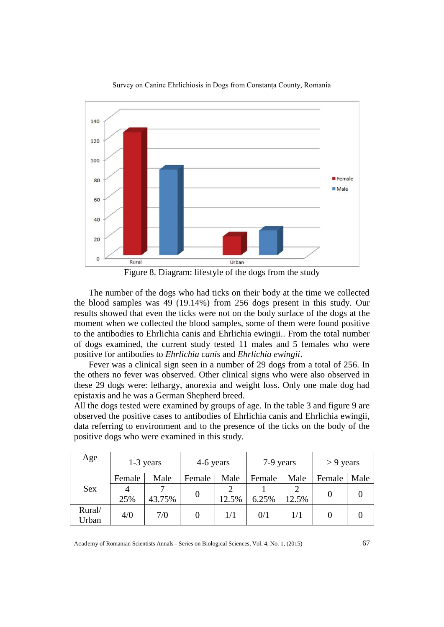

Survey on Canine Ehrlichiosis in Dogs from Constanța County, Romania

Figure 8. Diagram: lifestyle of the dogs from the study

The number of the dogs who had ticks on their body at the time we collected the blood samples was 49 (19.14%) from 256 dogs present in this study. Our results showed that even the ticks were not on the body surface of the dogs at the moment when we collected the blood samples, some of them were found positive to the antibodies to Ehrlichia canis and Ehrlichia ewingii.. From the total number of dogs examined, the current study tested 11 males and 5 females who were positive for antibodies to *Ehrlichia canis* and *Ehrlichia ewingii*.

Fever was a clinical sign seen in a number of 29 dogs from a total of 256. In the others no fever was observed. Other clinical signs who were also observed in these 29 dogs were: lethargy, anorexia and weight loss. Only one male dog had epistaxis and he was a German Shepherd breed.

All the dogs tested were examined by groups of age. In the table 3 and figure 9 are observed the positive cases to antibodies of Ehrlichia canis and Ehrlichia ewingii, data referring to environment and to the presence of the ticks on the body of the positive dogs who were examined in this study.

| Age             | $1-3$ years |        | 4-6 years |       | 7-9 years |       | $> 9$ years |      |
|-----------------|-------------|--------|-----------|-------|-----------|-------|-------------|------|
|                 | Female      | Male   | Female    | Male  | Female    | Male  | Female      | Male |
| Sex             | 4           | ⇁      |           | 2     |           | 2     |             |      |
|                 | 25%         | 43.75% |           | 12.5% | 6.25%     | 12.5% |             |      |
| Rural/<br>Urban | 4/0         | 7/0    |           | 1/1   | 0/1       | 1/1   |             |      |

Academy of Romanian Scientists Annals - Series on Biological Sciences, Vol. 4, No. 1, (2015) 67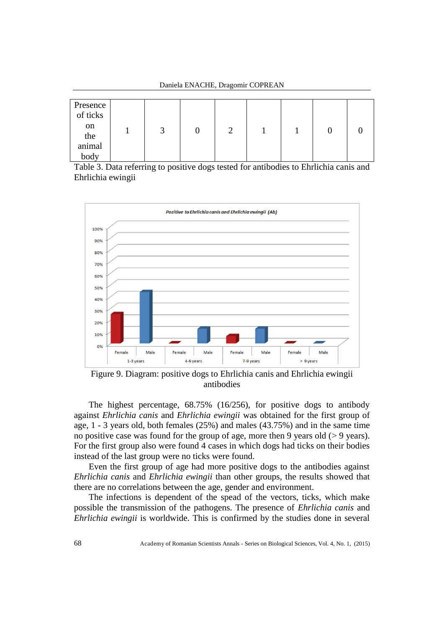| Presence<br>of ticks         |     |  |  |  |
|------------------------------|-----|--|--|--|
| $_{\rm on}$<br>the<br>animal | لىم |  |  |  |
| body                         |     |  |  |  |

Daniela ENACHE, Dragomir COPREAN

Table 3. Data referring to positive dogs tested for antibodies to Ehrlichia canis and Ehrlichia ewingii



Figure 9. Diagram: positive dogs to Ehrlichia canis and Ehrlichia ewingii antibodies

The highest percentage, 68.75% (16/256), for positive dogs to antibody against *Ehrlichia canis* and *Ehrlichia ewingii* was obtained for the first group of age, 1 - 3 years old, both females (25%) and males (43.75%) and in the same time no positive case was found for the group of age, more then 9 years old  $(> 9 \text{ years})$ . For the first group also were found 4 cases in which dogs had ticks on their bodies instead of the last group were no ticks were found.

Even the first group of age had more positive dogs to the antibodies against *Ehrlichia canis* and *Ehrlichia ewingii* than other groups, the results showed that there are no correlations between the age, gender and environment.

The infections is dependent of the spead of the vectors, ticks, which make possible the transmission of the pathogens. The presence of *Ehrlichia canis* and *Ehrlichia ewingii* is worldwide. This is confirmed by the studies done in several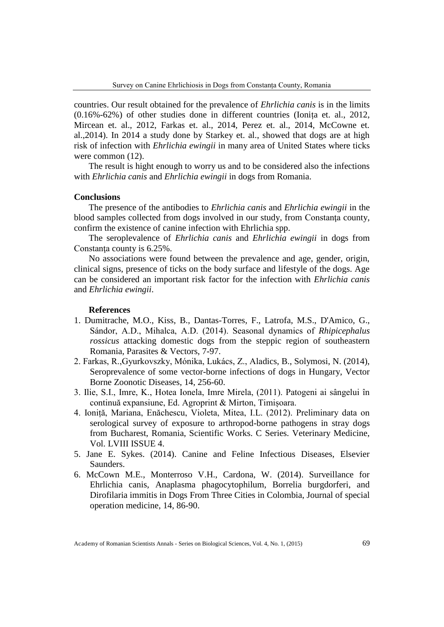countries. Our result obtained for the prevalence of *Ehrlichia canis* is in the limits (0.16%-62%) of other studies done in different countries (Ionița et. al., 2012, Mircean et. al., 2012, Farkas et. al., 2014, Perez et. al., 2014, McCowne et. al.,2014). In 2014 a study done by Starkey et. al., showed that dogs are at high risk of infection with *Ehrlichia ewingii* in many area of United States where ticks were common (12).

The result is hight enough to worry us and to be considered also the infections with *Ehrlichia canis* and *Ehrlichia ewingii* in dogs from Romania.

### **Conclusions**

The presence of the antibodies to *Ehrlichia canis* and *Ehrlichia ewingii* in the blood samples collected from dogs involved in our study, from Constanţa county, confirm the existence of canine infection with Ehrlichia spp.

The seroplevalence of *Ehrlichia canis* and *Ehrlichia ewingii* in dogs from Constanţa county is 6.25%.

No associations were found between the prevalence and age, gender, origin, clinical signs, presence of ticks on the body surface and lifestyle of the dogs. Age can be considered an important risk factor for the infection with *Ehrlichia canis* and *Ehrlichia ewingii*.

### **References**

- 1. Dumitrache, M.O., Kiss, B., Dantas-Torres, F., Latrofa, M.S., D'Amico, G., Sándor, A.D., Mihalca, A.D. (2014). Seasonal dynamics of *Rhipicephalus rossicus* attacking domestic dogs from the steppic region of southeastern Romania, Parasites & Vectors, 7-97.
- 2. Farkas, R.,Gyurkovszky, Mónika, Lukács, Z., Aladics, B., Solymosi, N. (2014), Seroprevalence of some vector-borne infections of dogs in Hungary, Vector Borne Zoonotic Diseases, 14, 256-60.
- 3. Ilie, S.I., Imre, K., Hotea Ionela, Imre Mirela, (2011). Patogeni ai sângelui în continuă expansiune, Ed. Agroprint & Mirton, Timișoara.
- 4. Ioniță, Mariana, Enăchescu, Violeta, Mitea, I.L. (2012). Preliminary data on serological survey of exposure to arthropod-borne pathogens in stray dogs from Bucharest, Romania, Scientific Works. C Series. Veterinary Medicine, Vol. LVIII ISSUE 4.
- 5. Jane E. Sykes. (2014). Canine and Feline Infectious Diseases, Elsevier Saunders.
- 6. McCown M.E., Monterroso V.H., Cardona, W. (2014). Surveillance for Ehrlichia canis, Anaplasma phagocytophilum, Borrelia burgdorferi, and Dirofilaria immitis in Dogs From Three Cities in Colombia, Journal of special operation medicine, 14, 86-90.